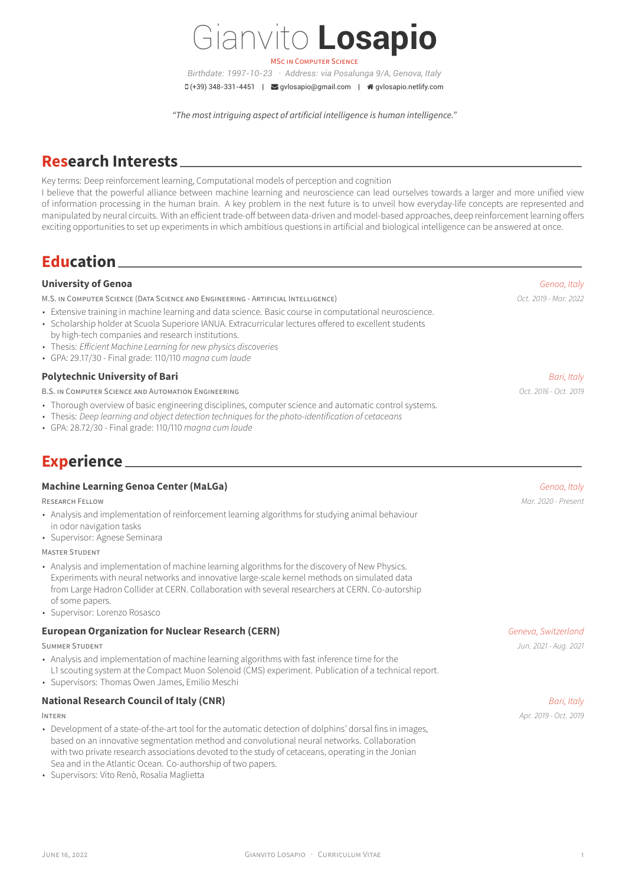# Gianvito **Losapio**

MSC IN COMPUTER SCIENCE *Birthdate: 1997-10-23 · Address: via Posalunga 9/A, Genova, Italy*  $\Box$ (+39) 348-331-4451 |  $\Box$  [gvlosapio@gmail.com](mailto:gvlosapio@gmail.com) |  $\triangleq$  [gvlosapio.netlify.com](http://gvlosapio.netlify.com)

*"The most intriguing aspect of artificial intelligence is human intelligence."*

### **Research Interests**

Key terms: Deep reinforcement learning, Computational models of perception and cognition

I believe that the powerful alliance between machine learning and neuroscience can lead ourselves towards a larger and more unified view of information processing in the human brain. A key problem in the next future is to unveil how everyday-life concepts are represented and manipulated by neural circuits. With an efficient trade-off between data-driven and model-based approaches, deep reinforcement learning offers exciting opportunities to set up experiments in which ambitious questions in artificial and biological intelligence can be answered at once.

### **Education**

### **University of Genoa** *Genoa, Italy*

M.S. IN COMPUTER SCIENCE (DATA SCIENCE AND ENGINEERING - ARTIFICIAL INTELLIGENCE) *Oct. 2019 - Mar. 2022*

- Extensive training in machine learning and data science. Basic course in computational neuroscience.
- Scholarship holder at Scuola Superiore IANUA. Extracurricular lectures offered to excellent students
- by high-tech companies and research institutions.
- Thesis: *Efficient Machine Learning for new physics discoveries*
- GPA: 29.17/30 Final grade: 110/110 *magna cum laude*

#### **Polytechnic University of Bari** *Bari, Italy*

B.S. IN COMPUTER SCIENCE AND AUTOMATION ENGINEERING *Oct. 2016 - Oct. 2019*

- Thorough overview of basic engineering disciplines, computer science and automatic control systems.
- Thesis: *Deep learning and object detection techniques for the photo-identification of cetaceans*
- GPA: 28.72/30 Final grade: 110/110 *magna cum laude*

## **Experience**

#### **Machine Learning Genoa Center (MaLGa)** *Genoa, Italy*

RESEARCH FELLOW *Mar. 2020 - Present*

- Analysis and implementation of reinforcement learning algorithms for studying animal behaviour in odor navigation tasks
- Supervisor: Agnese Seminara

#### MASTER STUDENT

- Analysis and implementation of machine learning algorithms for the discovery of New Physics. Experiments with neural networks and innovative large-scale kernel methods on simulated data from Large Hadron Collider at CERN. Collaboration with several researchers at CERN. Co-autorship of some papers.
- Supervisor: [Lorenzo Rosasco](http://web.mit.edu/lrosasco/www/)

#### **European Organization for Nuclear Research (CERN)** *Geneva, Switzerland**Geneva, Switzerland*

- Analysis and implementation of machine learning algorithms with fast inference time for the
- L1 scouting system at the Compact Muon Solenoid (CMS) experiment. Publication of a technical report.
- Supervisors: Thomas Owen James, Emilio Meschi

#### **National Research Council of Italy (CNR)** *Bari, Italy*

- Development of a state-of-the-art tool for the automatic detection of dolphins' dorsal fins in images, based on an innovative segmentation method and convolutional neural networks. Collaboration with two private research associations devoted to the study of cetaceans, operating in the Jonian Sea and in the Atlantic Ocean. Co-authorship of two papers.
- Supervisors: Vito Renò, Rosalia Maglietta

SUMMER STUDENT *Jun. 2021 - Aug. 2021*

INTERN *Apr. 2019 - Oct. 2019*